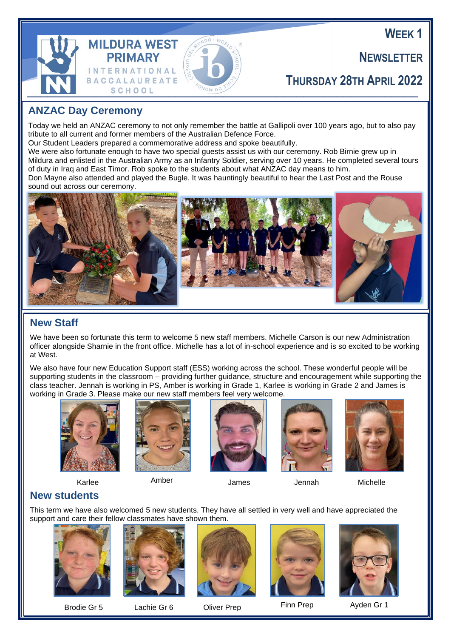**WEEK 1**

**NEWSLETTER**



## **THURSDAY 28TH APRIL 2022**

## **ANZAC Day Ceremony**

Today we held an ANZAC ceremony to not only remember the battle at Gallipoli over 100 years ago, but to also pay tribute to all current and former members of the Australian Defence Force.

Our Student Leaders prepared a commemorative address and spoke beautifully.

We were also fortunate enough to have two special guests assist us with our ceremony. Rob Birnie grew up in Mildura and enlisted in the Australian Army as an Infantry Soldier, serving over 10 years. He completed several tours of duty in Iraq and East Timor. Rob spoke to the students about what ANZAC day means to him.

Don Mayne also attended and played the Bugle. It was hauntingly beautiful to hear the Last Post and the Rouse sound out across our ceremony.



## **New Staff**

We have been so fortunate this term to welcome 5 new staff members. Michelle Carson is our new Administration officer alongside Sharnie in the front office. Michelle has a lot of in-school experience and is so excited to be working at West.

We also have four new Education Support staff (ESS) working across the school. These wonderful people will be supporting students in the classroom – providing further guidance, structure and encouragement while supporting the class teacher. Jennah is working in PS, Amber is working in Grade 1, Karlee is working in Grade 2 and James is working in Grade 3. Please make our new staff members feel very welcome.



Karlee



Amber





James Jennah Michelle



## **New students**

This term we have also welcomed 5 new students. They have all settled in very well and have appreciated the support and care their fellow classmates have shown them.





Brodie Gr 5 b Lachie Gr 6 b Cliver Prep Finn Prep 5 b Ayden Gr 1







Brodie Gr 5 Lachie Gr 6 Oliver Prep Finn Prep Ayden Gr 1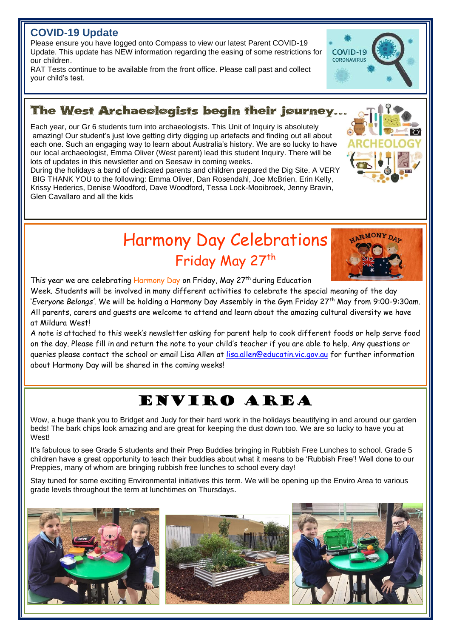## **COVID-19 Update**

j

j

Please ensure you have logged onto Compass to view our latest Parent COVID-19 Update. This update has NEW information regarding the easing of some restrictions for our children.

RAT Tests continue to be available from the front office. Please call past and collect your child's test.

## The West Archaeologists begin their journey...

Each year, our Gr 6 students turn into archaeologists. This Unit of Inquiry is absolutely amazing! Our student's just love getting dirty digging up artefacts and finding out all about each one. Such an engaging way to learn about Australia's history. We are so lucky to have our local archaeologist, Emma Oliver (West parent) lead this student Inquiry. There will be lots of updates in this newsletter and on Seesaw in coming weeks.

During the holidays a band of dedicated parents and children prepared the Dig Site. A VERY BIG THANK YOU to the following: Emma Oliver, Dan Rosendahl, Joe McBrien, Erin Kelly, Krissy Hederics, Denise Woodford, Dave Woodford, Tessa Lock-Mooibroek, Jenny Bravin, Glen Cavallaro and all the kids

> Harmony Day Celebrations Friday May 27<sup>th</sup>

This year we are celebrating Harmony Day on Friday, May 27<sup>th</sup> during Education

Week. Students will be involved in many different activities to celebrate the special meaning of the day '*Everyone Belongs'*. We will be holding a Harmony Day Assembly in the Gym Friday 27<sup>th</sup> May from 9:00-9:30am. All parents, carers and guests are welcome to attend and learn about the amazing cultural diversity we have at Mildura West!

A note is attached to this week's newsletter asking for parent help to cook different foods or help serve food on the day. Please fill in and return the note to your child's teacher if you are able to help. Any questions or queries please contact the school or email Lisa Allen at [lisa.allen@educatin.vic.gov.au](mailto:lisa.allen@educatin.vic.gov.au) for further information about Harmony Day will be shared in the coming weeks!

# Enviro Area

Wow, a huge thank you to Bridget and Judy for their hard work in the holidays beautifying in and around our garden beds! The bark chips look amazing and are great for keeping the dust down too. We are so lucky to have you at West!

It's fabulous to see Grade 5 students and their Prep Buddies bringing in Rubbish Free Lunches to school. Grade 5 children have a great opportunity to teach their buddies about what it means to be 'Rubbish Free'! Well done to our Preppies, many of whom are bringing rubbish free lunches to school every day!

Stay tuned for some exciting Environmental initiatives this term. We will be opening up the Enviro Area to various grade levels throughout the term at lunchtimes on Thursdays.







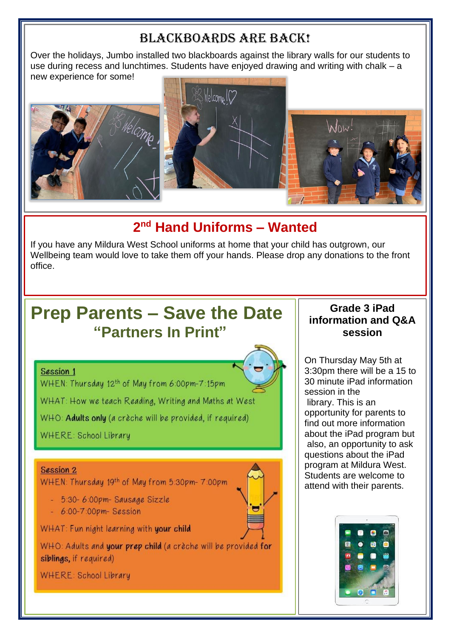## Blackboards are BACK!

Over the holidays, Jumbo installed two blackboards against the library walls for our students to use during recess and lunchtimes. Students have enjoyed drawing and writing with chalk – a new experience for some!



## **2 nd Hand Uniforms – Wanted**

If you have any Mildura West School uniforms at home that your child has outgrown, our Wellbeing team would love to take them off your hands. Please drop any donations to the front office.

# **Prep Parents – Save the Date "Partners In Print"**

#### Session 1

j

l ī

WHEN: Thursday 12th of May from 6:00pm-7:15pm

WHAT: How we teach Reading, Writing and Maths at West

WHO: Adults only (a crèche will be provided, if required)

WHERE: School Library

#### Session 2

 $\overline{a}$ 

WHEN: Thursday 19th of May from 5:30pm-7:00pm

- $-5:30-6:00$ pm Sausage Sizzle
- $-6:00 7:00$ pm-Session

WHAT: Fun night learning with your child

WHO: Adults and your prep child (a crèche will be provided for siblings, if required)

**WHERE: School Library** 



### **Grade 3 iPad information and Q&A session**

On Thursday May 5th at 3:30pm there will be a 15 to 30 minute iPad information session in the library. This is an opportunity for parents to find out more information about the iPad program but also, an opportunity to ask questions about the iPad program at Mildura West. Students are welcome to attend with their parents.